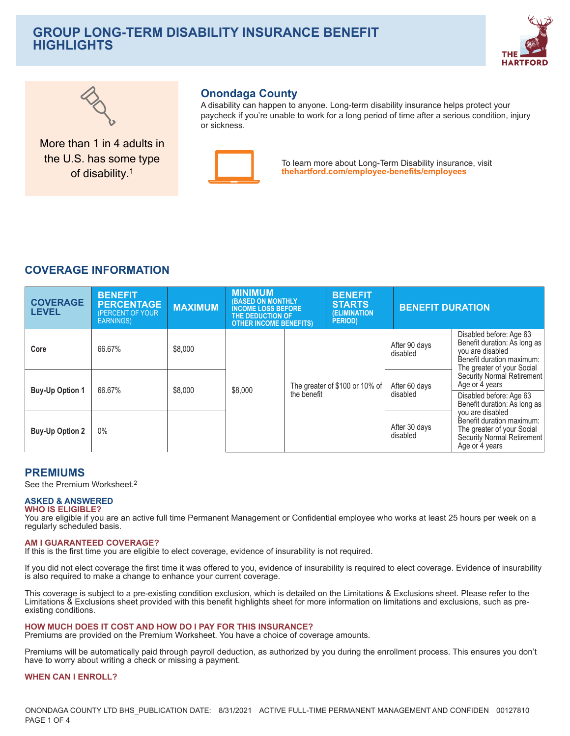# **GROUP LONG-TERM DISABILITY INSURANCE BENEFIT HIGHLIGHTS**





More than 1 in 4 adults in the U.S. has some type of disability.<sup>1</sup>

# **Onondaga County**

A disability can happen to anyone. Long-term disability insurance helps protect your paycheck if you're unable to work for a long period of time after a serious condition, injury or sickness



To learn more about Long-Term Disability insurance, visit thehartford.com/employee-benefits/employees

# **COVERAGE INFORMATION**

| <b>COVERAGE</b><br><b>LEVEL</b> | <b>BENEFIT</b><br><b>PERCENTAGE</b><br><b>PERCENT OF YOUR</b><br><b>EARNINGS)</b> | <b>MAXIMUM</b> | <b>MINIMUM</b><br><b>(BASED ON MONTHLY</b><br><b>INCOME LOSS BEFORE</b><br>THE DEDUCTION OF<br><b>OTHER INCOME BENEFITS)</b> |             | <b>BENEFIT</b><br><b>STARTS</b><br>(ELIMINATION<br><b>PERIOD</b> ) | <b>BENEFIT DURATION</b>   |                                                                                                                                        |
|---------------------------------|-----------------------------------------------------------------------------------|----------------|------------------------------------------------------------------------------------------------------------------------------|-------------|--------------------------------------------------------------------|---------------------------|----------------------------------------------------------------------------------------------------------------------------------------|
| Core                            | 66.67%                                                                            | \$8,000        |                                                                                                                              |             |                                                                    | After 90 days<br>disabled | Disabled before: Age 63<br>Benefit duration: As long as<br>you are disabled<br>Benefit duration maximum:<br>The greater of your Social |
| <b>Buy-Up Option 1</b>          | 66.67%                                                                            | \$8,000        | \$8,000                                                                                                                      | the benefit | The greater of \$100 or 10% of                                     | After 60 days<br>disabled | Security Normal Retirement<br>Age or 4 years<br>Disabled before: Age 63<br>Benefit duration: As long as                                |
| <b>Buy-Up Option 2</b>          | 0%                                                                                |                |                                                                                                                              |             |                                                                    | After 30 days<br>disabled | you are disabled<br>Benefit duration maximum:<br>The greater of your Social<br>Security Normal Retirement<br>Age or 4 years            |

# **PREMIUMS**

See the Premium Worksheet.<sup>2</sup>

#### **ASKED & ANSWERED WHO IS ELIGIBLE?**

You are eligible if you are an active full time Permanent Management or Confidential employee who works at least 25 hours per week on a regularly scheduled basis.

# **AM I GUARANTEED COVERAGE?**

If this is the first time you are eligible to elect coverage, evidence of insurability is not required.

If you did not elect coverage the first time it was offered to you, evidence of insurability is required to elect coverage. Evidence of insurability is also required to make a change to enhance your current coverage.

This coverage is subject to a pre-existing condition exclusion, which is detailed on the Limitations & Exclusions sheet. Please refer to the Limitations & Exclusions sheet provided with this benefit highlights sheet for more information on limitations and exclusions, such as preexisting conditions.

# HOW MUCH DOES IT COST AND HOW DO I PAY FOR THIS INSURANCE?

Premiums are provided on the Premium Worksheet. You have a choice of coverage amounts.

Premiums will be automatically paid through payroll deduction, as authorized by you during the enrollment process. This ensures you don't have to worry about writing a check or missing a payment.

# **WHEN CAN I ENROLL?**

ONONDAGA COUNTY LTD BHS\_PUBLICATION DATE: 8/31/2021 ACTIVE FULL-TIME PERMANENT MANAGEMENT AND CONFIDEN 00127810 PAGE 1 OF 4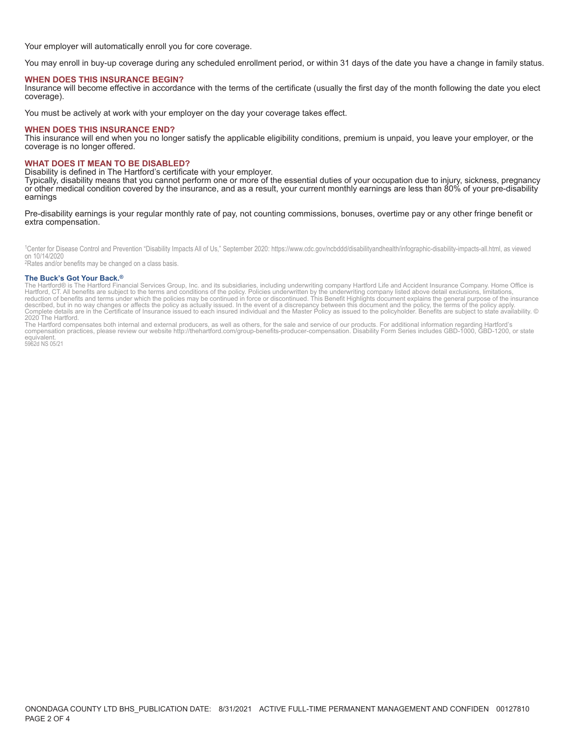Your employer will automatically enroll you for core coverage.

You may enroll in buy-up coverage during any scheduled enrollment period, or within 31 days of the date you have a change in family status.

#### **WHEN DOES THIS INSURANCE BEGIN?**

Insurance will become effective in accordance with the terms of the certificate (usually the first day of the month following the date you elect coverage).

You must be actively at work with your employer on the day your coverage takes effect.

#### **WHEN DOES THIS INSURANCE END?**

This insurance will end when you no longer satisfy the applicable eligibility conditions, premium is unpaid, you leave your employer, or the coverage is no longer offered.

#### **WHAT DOES IT MEAN TO BE DISABLED?**

Disability is defined in The Hartford's certificate with your employer.

Typically, disability means that you cannot perform one or more of the essential duties of your occupation due to injury, sickness, pregnancy or other medical condition covered by the insurance, and as a result, your current monthly earnings are less than 80% of your pre-disability earnings

#### Pre-disability earnings is your regular monthly rate of pay, not counting commissions, bonuses, overtime pay or any other fringe benefit or extra compensation.

<sup>1</sup>Center for Disease Control and Prevention "Disability Impacts All of Us," September 2020: https://www.cdc.gov/ncbddd/disabilityandhealth/infographic-disability-impacts-all.html, as viewed on 10/14/2020

<sup>2</sup>Rates and/or benefits may be changed on a class basis.

#### The Buck's Got Your Back.<sup>®</sup>

The Burtford® is The Hartford Financial Services Group, Inc. and its subsidiaries, including underwriting company Hartford Life and Accident Insurance Company. Home Office is<br>Hartford, CT. All benefits are subject to the t

2020 The Hartford.<br>The Hartford compensates both internal and external producers, as well as others, for the sale and service of our products. For additional information regarding Hartford's<br>Compensation practices, please equivalent.<br>5962d NS 05/21